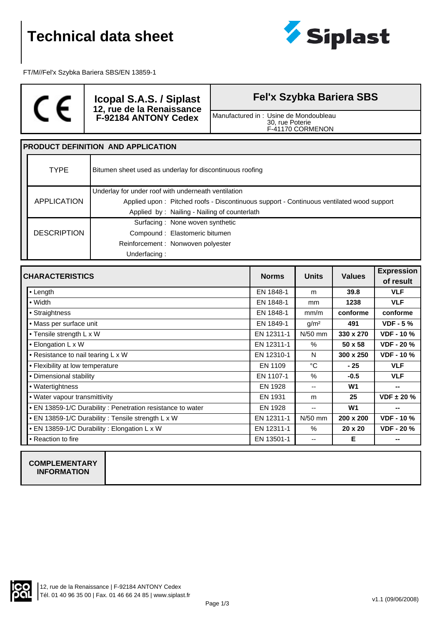

FT/M//Fel'x Szybka Bariera SBS/EN 13859-1



**Icopal S.A.S. / Siplast 12, rue de la Renaissance F-92184 ANTONY Cedex**

**Fel'x Szybka Bariera SBS**

Manufactured in : Usine de Mondoubleau 30, rue Poterie F-41170 CORMENON

## **PRODUCT DEFINITION AND APPLICATION**

| <b>TYPE</b>        | Bitumen sheet used as underlay for discontinuous roofing                                 |
|--------------------|------------------------------------------------------------------------------------------|
|                    | Underlay for under roof with underneath ventilation                                      |
| APPLICATION        | Applied upon: Pitched roofs - Discontinuous support - Continuous ventilated wood support |
|                    | Applied by: Nailing - Nailing of counterlath                                             |
|                    | Surfacing: None woven synthetic                                                          |
| <b>DESCRIPTION</b> | Compound: Elastomeric bitumen                                                            |
|                    | Reinforcement: Nonwoven polyester                                                        |
|                    | Underfacing:                                                                             |

| <b>CHARACTERISTICS</b>                                     | <b>Norms</b> | <b>Units</b>             | <b>Values</b>  | <b>Expression</b> |
|------------------------------------------------------------|--------------|--------------------------|----------------|-------------------|
|                                                            |              |                          |                | of result         |
| $\bullet$ Length                                           | EN 1848-1    | m                        | 39.8           | <b>VLF</b>        |
| • Width                                                    | EN 1848-1    | <sub>mm</sub>            | 1238           | <b>VLF</b>        |
| • Straightness                                             | EN 1848-1    | mm/m                     | conforme       | conforme          |
| • Mass per surface unit                                    | EN 1849-1    | g/m <sup>2</sup>         | 491            | $VDF - 5%$        |
| • Tensile strength L x W                                   | EN 12311-1   | $N/50$ mm                | 330 x 270      | <b>VDF - 10 %</b> |
| • Elongation L x W                                         | EN 12311-1   | $\%$                     | $50 \times 58$ | <b>VDF - 20 %</b> |
| • Resistance to nail tearing L x W                         | EN 12310-1   | N                        | 300 x 250      | <b>VDF - 10 %</b> |
| • Flexibility at low temperature                           | EN 1109      | °C                       | - 25           | <b>VLF</b>        |
| • Dimensional stability                                    | EN 1107-1    | $\%$                     | $-0.5$         | <b>VLF</b>        |
| • Watertightness                                           | EN 1928      | $\overline{\phantom{a}}$ | W <sub>1</sub> | --                |
| • Water vapour transmittivity                              | EN 1931      | m                        | 25             | $VDF \pm 20 \%$   |
| • EN 13859-1/C Durability: Penetration resistance to water | EN 1928      | $-$                      | W <sub>1</sub> | --                |
| • EN 13859-1/C Durability: Tensile strength L x W          | EN 12311-1   | $N/50$ mm                | 200 x 200      | <b>VDF - 10 %</b> |
| • EN 13859-1/C Durability: Elongation L x W                | EN 12311-1   | $\%$                     | $20 \times 20$ | <b>VDF - 20 %</b> |
| • Reaction to fire                                         | EN 13501-1   | --                       | Е              | --                |

### **COMPLEMENTARY INFORMATION**

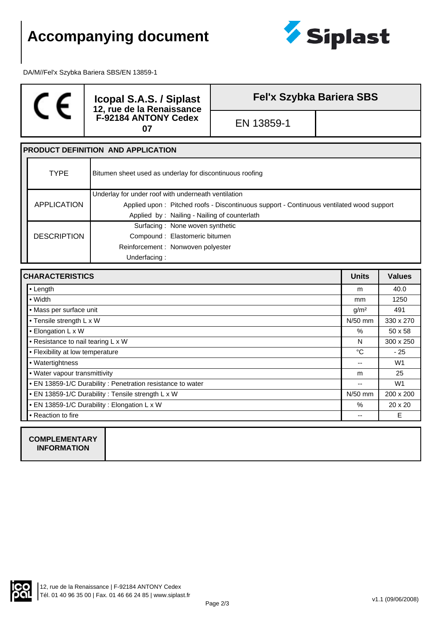# **Accompanying document**



DA/M//Fel'x Szybka Bariera SBS/EN 13859-1

# $\epsilon$

**Icopal S.A.S. / Siplast 12, rue de la Renaissance F-92184 ANTONY Cedex 07** EN 13859-1

**Fel'x Szybka Bariera SBS**

#### **PRODUCT DEFINITION AND APPLICATION**  $\Gamma$ Τ

|  | <b>TYPE</b>        | Bitumen sheet used as underlay for discontinuous roofing                                 |
|--|--------------------|------------------------------------------------------------------------------------------|
|  |                    | Underlay for under roof with underneath ventilation                                      |
|  | APPLICATION        | Applied upon: Pitched roofs - Discontinuous support - Continuous ventilated wood support |
|  |                    | Applied by: Nailing - Nailing of counterlath                                             |
|  |                    | Surfacing: None woven synthetic                                                          |
|  | <b>DESCRIPTION</b> | Compound: Elastomeric bitumen                                                            |
|  |                    | Reinforcement: Nonwoven polyester                                                        |
|  |                    | Underfacing:                                                                             |

| <b>CHARACTERISTICS</b>                                      | <b>Units</b>  | <b>Values</b>    |
|-------------------------------------------------------------|---------------|------------------|
| • Length                                                    | m             | 40.0             |
| $\bullet$ Width                                             | <sub>mm</sub> | 1250             |
| • Mass per surface unit                                     |               | 491              |
| • Tensile strength L x W                                    |               | 330 x 270        |
| • Elongation L x W                                          |               | $50 \times 58$   |
| • Resistance to nail tearing L x W                          |               | $300 \times 250$ |
| • Flexibility at low temperature                            |               | $-25$            |
| • Watertightness                                            |               | W <sub>1</sub>   |
| • Water vapour transmittivity                               |               | 25               |
| • EN 13859-1/C Durability : Penetration resistance to water | --            | W <sub>1</sub>   |
| • EN 13859-1/C Durability : Tensile strength L x W          | $N/50$ mm     | 200 x 200        |
| • EN 13859-1/C Durability: Elongation L x W                 | $\%$          | $20 \times 20$   |
| • Reaction to fire                                          | --            | E.               |
|                                                             |               |                  |

**COMPLEMENTARY INFORMATION**